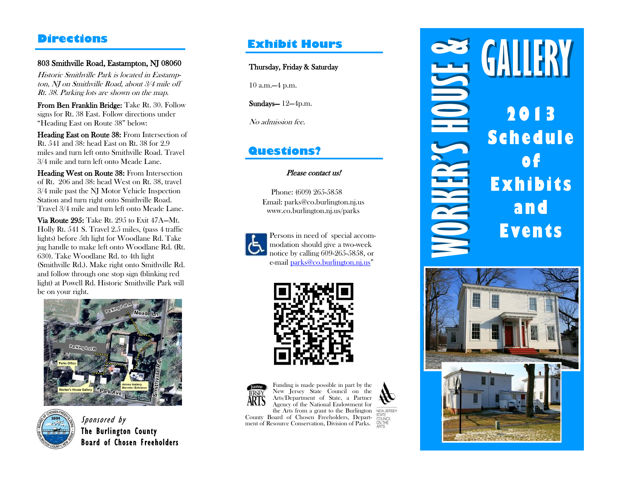### 803 Smithville Road, Eastampton, NJ 08060

Historic Smithville Park is located in Eastampton, NJ on Smithville Road, about 3/4 mile off Rt. 38. Parking lots are shown on the map.

From Ben Franklin Bridge: Take Rt. 30. Follow signs for Rt. 38 East. Follow directions under "Heading East on Route 38" below:

Heading East on Route 38: From Intersection of Rt. 541 and 38: head East on Rt. 38 for 2.9 miles and turn left onto Smithville Road. Travel 3/4 mile and turn left onto Meade Lane.

Heading West on Route 38: From Intersection of Rt. 206 and 38: head West on Rt. 38, travel 3/4 mile past the NJ Motor Vehicle Inspection Station and turn right onto Smithville Road. Travel 3/4 mile and turn left onto Meade Lane.

Via Route 295: Take Rt. 295 to Exit 47A—Mt. Holly Rt. 541 S. Travel 2.5 miles, (pass 4 traffic lights) before 5th light for Woodlane Rd. Take jug handle to make left onto Woodlane Rd. (Rt. 630). Take Woodlane Rd. to 4th light (Smithville Rd.). Make right onto Smithville Rd. and follow through one stop sign (blinking red light) at Powell Rd. Historic Smithville Park will be on your right.





The Burlington County Board of Chosen Freeholders

### **Exhibit Hours**

Thursday, Friday & Saturday

10 a.m.—4 p.m.

Sundays— 12—4p.m.

No admission fee.

### **Questions?**

### Please contact us!

Phone: (609) 265-5858 Email: parks@co.burlington.nj.us www.co.burlington.nj.us/parks



Persons in need of special accommodation should give a two-week notice by calling 609-265-5858, or e-mail [parks@co.burlington.nj.us](mailto:parks@co.burlington.nj.us)"





Funding is made possible in part by the New Jersey State Council on the Arts/Department of State, a Partner Agency of the National Endowment for the Arts from a grant to the Burlington

County Board of Chosen Freeholders, Depart-**Sponsored by**<br> **Sponsored by**<br> **Sponsored by**<br> **Sponsored by**<br> **Sponsored by**<br> **Sponsored by** 



# **2013 Schedule of Exhibits and Events Directions**<br>
So Smithville Road, Eastenryton, NI 08060<br> *Hostels is bested to Easterny and the main case about the Main College Take R. 30. Tollard C. All and the main case about the main case of the S. Parker R. S. Tolla*